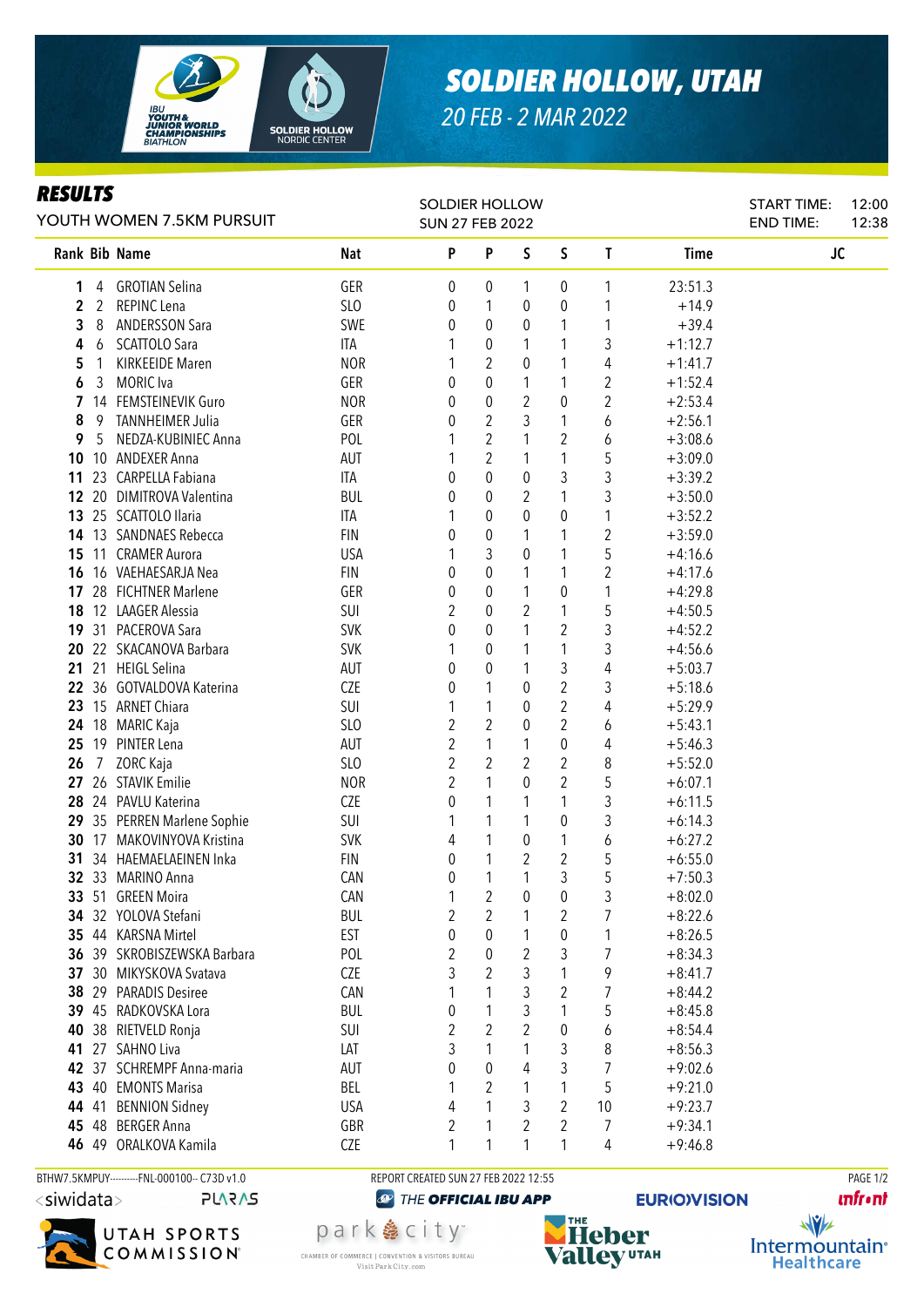

## *SOLDIER HOLLOW, UTAH*

*20 FEB - 2 MAR 2022*

## *RESULTS*

| YOUTH WOMEN 7.5KM PURSUIT |                 |                             |                 | <b>SOLDIER HOLLOW</b><br><b>SUN 27 FEB 2022</b> |                  |             |                |                         |             | START TIME:<br><b>END TIME:</b> | 12:00<br>12:38 |
|---------------------------|-----------------|-----------------------------|-----------------|-------------------------------------------------|------------------|-------------|----------------|-------------------------|-------------|---------------------------------|----------------|
|                           |                 | Rank Bib Name               | Nat             | P                                               | P                | S           | $\mathsf S$    | T                       | <b>Time</b> | JC                              |                |
| 1                         |                 | 4 GROTIAN Selina            | GER             | 0                                               | 0                | 1           | 0              | 1                       | 23:51.3     |                                 |                |
| $\overline{2}$            |                 | 2 REPINC Lena               | <b>SLO</b>      | 0                                               | 1                | 0           | 0              | 1                       | $+14.9$     |                                 |                |
| 3                         | 8               | <b>ANDERSSON Sara</b>       | SWE             | 0                                               | 0                | 0           | 1              | 1                       | $+39.4$     |                                 |                |
| 4                         | 6               | SCATTOLO Sara               | ITA             |                                                 | 0                | 1           | 1              | 3                       | $+1:12.7$   |                                 |                |
| 5                         | 1               | <b>KIRKEEIDE Maren</b>      | <b>NOR</b>      |                                                 | $\overline{2}$   | 0           | 1              | 4                       | $+1:41.7$   |                                 |                |
| 6                         | 3               | <b>MORIC</b> Iva            | GER             | 0                                               | $\boldsymbol{0}$ | 1           | 1              | 2                       | $+1:52.4$   |                                 |                |
| $\overline{7}$            |                 | 14 FEMSTEINEVIK Guro        | <b>NOR</b>      | 0                                               | 0                | 2           | 0              | $\overline{2}$          | $+2:53.4$   |                                 |                |
| 8                         | 9               | TANNHEIMER Julia            | GER             | 0                                               | $\sqrt{2}$       | 3           | 1              | 6                       | $+2:56.1$   |                                 |                |
| 9                         | 5               | NEDZA-KUBINIEC Anna         | POL             | 1                                               | $\sqrt{2}$       | 1           | 2              | 6                       | $+3:08.6$   |                                 |                |
| 10                        |                 | 10 ANDEXER Anna             | AUT             |                                                 | $\overline{2}$   | 1           | 1              | 5                       | $+3:09.0$   |                                 |                |
| 11                        |                 | 23 CARPELLA Fabiana         | ITA             | 0                                               | $\boldsymbol{0}$ | 0           | 3              | 3                       | $+3:39.2$   |                                 |                |
|                           |                 | 12 20 DIMITROVA Valentina   | <b>BUL</b>      | 0                                               | $\boldsymbol{0}$ | 2           | 1              | 3                       | $+3:50.0$   |                                 |                |
|                           |                 | 13 25 SCATTOLO Ilaria       | ITA             | 1                                               | $\boldsymbol{0}$ | 0           | 0              | 1                       | $+3:52.2$   |                                 |                |
| 14                        |                 | 13 SANDNAES Rebecca         | <b>FIN</b>      | 0                                               | $\pmb{0}$        | 1           | 1              | $\overline{\mathbf{c}}$ | $+3:59.0$   |                                 |                |
| 15                        |                 | 11 CRAMER Aurora            | <b>USA</b>      |                                                 | 3                | 0           | 1              | 5                       | $+4:16.6$   |                                 |                |
| 16                        |                 | 16 VAEHAESARJA Nea          | <b>FIN</b>      | 0                                               | $\boldsymbol{0}$ | 1           | 1              | $\overline{\mathbf{c}}$ | $+4:17.6$   |                                 |                |
| 17                        |                 | 28 FICHTNER Marlene         | GER             | 0                                               | $\boldsymbol{0}$ | 1           | 0              | 1                       | $+4:29.8$   |                                 |                |
| 18                        |                 | 12 LAAGER Alessia           | SUI             | 2                                               | 0                | 2           | 1              | 5                       | $+4:50.5$   |                                 |                |
| 19                        |                 | 31 PACEROVA Sara            | <b>SVK</b>      | 0                                               | 0                | 1           | $\overline{2}$ | 3                       | $+4:52.2$   |                                 |                |
| 20                        |                 | 22 SKACANOVA Barbara        | <b>SVK</b>      | 1                                               | 0                | 1           | 1              | 3                       | $+4:56.6$   |                                 |                |
| $21 \,$                   |                 | 21 HEIGL Selina             | AUT             | 0                                               | 0                | 1           | 3              | 4                       | $+5:03.7$   |                                 |                |
|                           |                 | 22 36 GOTVALDOVA Katerina   | CZE             | 0                                               | 1                | 0           | $\overline{c}$ | 3                       | $+5:18.6$   |                                 |                |
|                           |                 | 23 15 ARNET Chiara          | SUI             | 1                                               | 1                | 0           | $\overline{c}$ | 4                       | $+5:29.9$   |                                 |                |
|                           |                 | 24 18 MARIC Kaja            | SL <sub>0</sub> | 2                                               | 2                | 0           | $\overline{2}$ | 6                       | $+5:43.1$   |                                 |                |
| 25                        |                 | 19 PINTER Lena              | AUT             | 2                                               | 1                | 1           | 0              | 4                       | $+5:46.3$   |                                 |                |
| 26                        | $7\overline{ }$ | ZORC Kaja                   | SLO             | 2                                               | $\overline{c}$   | 2           | $\overline{2}$ | 8                       | $+5:52.0$   |                                 |                |
| 27                        |                 | 26 STAVIK Emilie            | <b>NOR</b>      | 2                                               | 1                | $\theta$    | $\overline{2}$ | 5                       | $+6:07.1$   |                                 |                |
| 28                        |                 | 24 PAVLU Katerina           | CZE             | 0                                               | 1                | 1           | 1              | 3                       | $+6:11.5$   |                                 |                |
|                           |                 | 29 35 PERREN Marlene Sophie | SUI             | 1                                               | 1                | 1           | 0              | 3                       | $+6:14.3$   |                                 |                |
|                           |                 | 30 17 MAKOVINYOVA Kristina  | <b>SVK</b>      | 4                                               | 1                | 0           | $\mathbf{1}$   | 6                       | $+6:27.2$   |                                 |                |
|                           |                 | 31 34 HAEMAELAEINEN Inka    | <b>FIN</b>      | 0                                               | 1                | 2           | $\overline{2}$ | 5                       | $+6:55.0$   |                                 |                |
|                           |                 | 32 33 MARINO Anna           | CAN             | 0                                               | 1                | 1           | 3              | 5                       | $+7:50.3$   |                                 |                |
|                           |                 | 33 51 GREEN Moira           | CAN             | 1                                               | $\overline{2}$   | $\mathbf 0$ | $\pmb{0}$      | 3                       | $+8:02.0$   |                                 |                |
|                           |                 | 34 32 YOLOVA Stefani        | <b>BUL</b>      | 2                                               | 2                |             | 2              | 7                       | $+8:22.6$   |                                 |                |
|                           |                 | 35 44 KARSNA Mirtel         | <b>EST</b>      | 0                                               | $\boldsymbol{0}$ |             | 0              | 1                       | $+8:26.5$   |                                 |                |
|                           |                 | 36 39 SKROBISZEWSKA Barbara | POL             | 2                                               | $\boldsymbol{0}$ | 2           | 3              | 7                       | $+8:34.3$   |                                 |                |
|                           |                 | 37 30 MIKYSKOVA Svatava     | CZE             | 3                                               | $\overline{2}$   | 3           |                | 9                       | $+8:41.7$   |                                 |                |
| 38                        |                 | 29 PARADIS Desiree          | CAN             | 1                                               | 1                | 3           | $\overline{2}$ | $\overline{7}$          | $+8:44.2$   |                                 |                |
|                           |                 | 39 45 RADKOVSKA Lora        | <b>BUL</b>      | 0                                               | 1                | 3           | 1              | 5                       | $+8:45.8$   |                                 |                |
| 40                        |                 | 38 RIETVELD Ronja           | SUI             | 2                                               | $\overline{2}$   | 2           | 0              | 6                       | $+8:54.4$   |                                 |                |
| 41                        |                 | 27 SAHNO Liva               | LAT             | 3                                               | 1                | 1           | 3              | 8                       | $+8:56.3$   |                                 |                |
| 42                        |                 | 37 SCHREMPF Anna-maria      | AUT             | 0                                               | 0                | 4           | 3              | $\overline{7}$          | $+9:02.6$   |                                 |                |
| 43                        |                 | 40 EMONTS Marisa            | BEL             | 1                                               | 2<br>1           | 1           | 1              | 5                       | $+9:21.0$   |                                 |                |
| 44                        | 41              | <b>BENNION Sidney</b>       | <b>USA</b>      | 4                                               |                  | 3           | $\overline{2}$ | 10                      | $+9:23.7$   |                                 |                |
|                           |                 | 45 48 BERGER Anna           | GBR             | 2                                               |                  | 2           | $\overline{2}$ | 7                       | $+9:34.1$   |                                 |                |
|                           |                 | 46 49 ORALKOVA Kamila       | CZE             | 1                                               | 1                | 1           | 1              | 4                       | $+9:46.8$   |                                 |                |

BTHW7.5KMPUY---------FNL-000100-- C73D v1.0 REPORT CREATED SUN 27 FEB 2022 12:55 REPORT CREATED SUN 27 FEB 2022 12:55 **PLARAS** 



park 急 city<sup>®</sup>

CHAMBER OF COMMERCE | CONVENTION & VISITORS BUREAU

Visit Park City.com

THE OFFICIAL IBU APP

THE **Heber Valley UTAH** 

**EURIO)VISION** 

**unfront** 

 $\sqrt{v}$ Intermountain<sup>®</sup> **Healthcare**